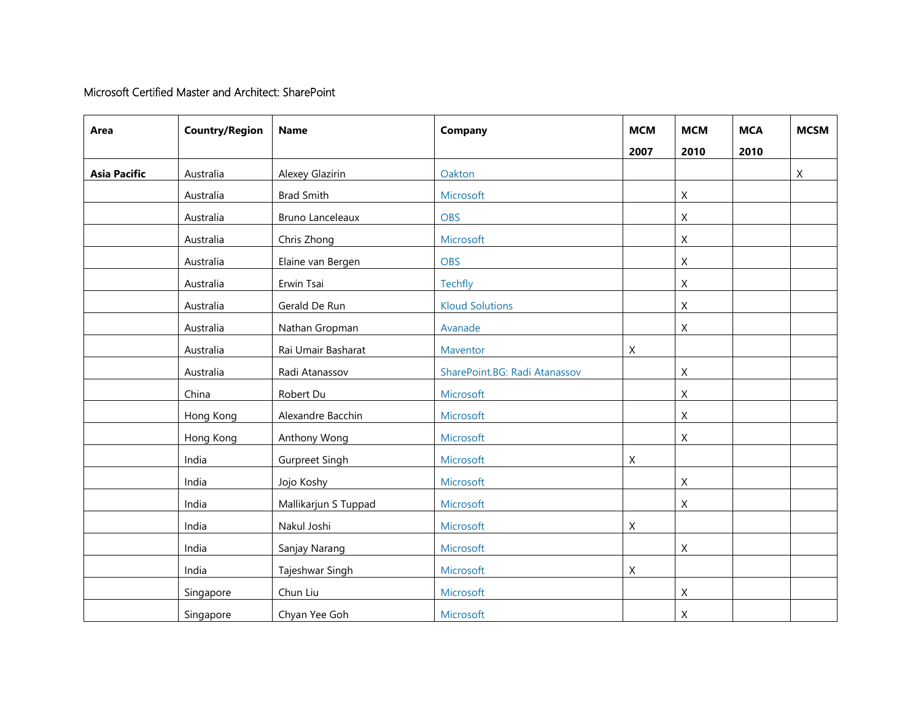## Microsoft Certified Master and Architect: SharePoint

| Area                | <b>Country/Region</b> | <b>Name</b>             | Company                       | <b>MCM</b>  | <b>MCM</b>   | <b>MCA</b> | <b>MCSM</b> |
|---------------------|-----------------------|-------------------------|-------------------------------|-------------|--------------|------------|-------------|
|                     |                       |                         |                               | 2007        | 2010         | 2010       |             |
| <b>Asia Pacific</b> | Australia             | Alexey Glazirin         | Oakton                        |             |              |            | X           |
|                     | Australia             | <b>Brad Smith</b>       | Microsoft                     |             | $\mathsf{X}$ |            |             |
|                     | Australia             | <b>Bruno Lanceleaux</b> | <b>OBS</b>                    |             | $\mathsf X$  |            |             |
|                     | Australia             | Chris Zhong             | Microsoft                     |             | $\mathsf X$  |            |             |
|                     | Australia             | Elaine van Bergen       | <b>OBS</b>                    |             | $\mathsf{X}$ |            |             |
|                     | Australia             | Erwin Tsai              | <b>Techfly</b>                |             | $\mathsf X$  |            |             |
|                     | Australia             | Gerald De Run           | <b>Kloud Solutions</b>        |             | $\mathsf X$  |            |             |
|                     | Australia             | Nathan Gropman          | Avanade                       |             | $\mathsf{X}$ |            |             |
|                     | Australia             | Rai Umair Basharat      | Maventor                      | X           |              |            |             |
|                     | Australia             | Radi Atanassov          | SharePoint.BG: Radi Atanassov |             | $\mathsf X$  |            |             |
|                     | China                 | Robert Du               | Microsoft                     |             | X            |            |             |
|                     | Hong Kong             | Alexandre Bacchin       | Microsoft                     |             | $\mathsf X$  |            |             |
|                     | Hong Kong             | Anthony Wong            | Microsoft                     |             | $\mathsf{X}$ |            |             |
|                     | India                 | <b>Gurpreet Singh</b>   | Microsoft                     | X           |              |            |             |
|                     | India                 | Jojo Koshy              | Microsoft                     |             | $\mathsf X$  |            |             |
|                     | India                 | Mallikarjun S Tuppad    | Microsoft                     |             | X            |            |             |
|                     | India                 | Nakul Joshi             | Microsoft                     | X           |              |            |             |
|                     | India                 | Sanjay Narang           | Microsoft                     |             | $\mathsf X$  |            |             |
|                     | India                 | Tajeshwar Singh         | Microsoft                     | $\mathsf X$ |              |            |             |
|                     | Singapore             | Chun Liu                | Microsoft                     |             | X            |            |             |
|                     | Singapore             | Chyan Yee Goh           | Microsoft                     |             | X            |            |             |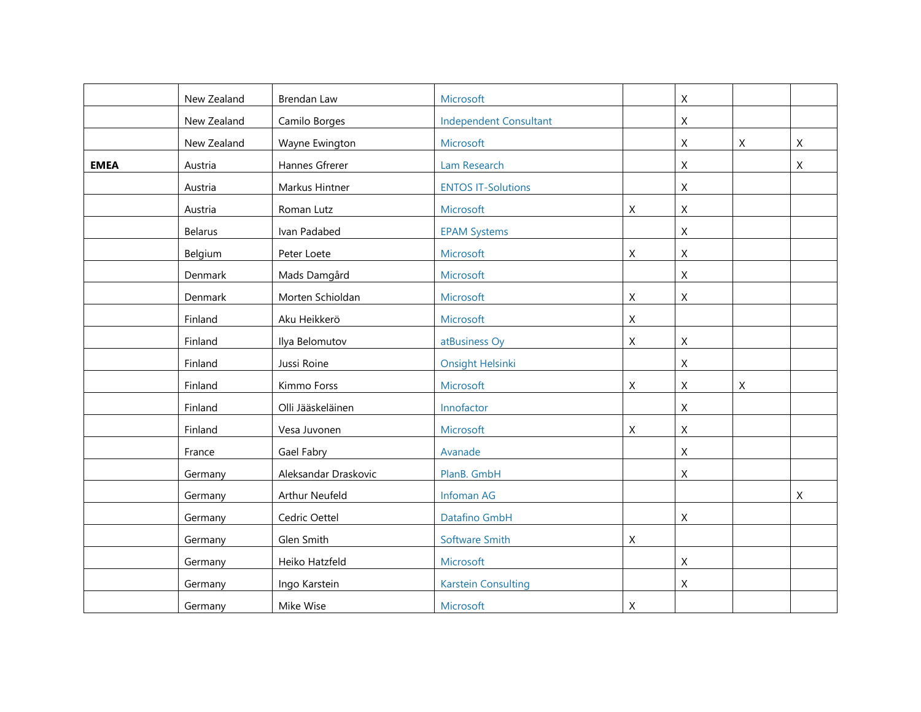|             | New Zealand | Brendan Law          | Microsoft                     |                  | $\sf X$                   |                |              |
|-------------|-------------|----------------------|-------------------------------|------------------|---------------------------|----------------|--------------|
|             | New Zealand | Camilo Borges        | <b>Independent Consultant</b> |                  | X                         |                |              |
|             | New Zealand | Wayne Ewington       | Microsoft                     |                  | $\boldsymbol{X}$          | $\pmb{\times}$ | $\mathsf{X}$ |
| <b>EMEA</b> | Austria     | Hannes Gfrerer       | Lam Research                  |                  | X                         |                | Χ            |
|             | Austria     | Markus Hintner       | <b>ENTOS IT-Solutions</b>     |                  | X                         |                |              |
|             | Austria     | Roman Lutz           | Microsoft                     | Χ                | $\mathsf X$               |                |              |
|             | Belarus     | Ivan Padabed         | <b>EPAM Systems</b>           |                  | $\mathsf X$               |                |              |
|             | Belgium     | Peter Loete          | Microsoft                     | $\mathsf X$      | $\boldsymbol{\mathsf{X}}$ |                |              |
|             | Denmark     | Mads Damgård         | Microsoft                     |                  | $\mathsf X$               |                |              |
|             | Denmark     | Morten Schioldan     | Microsoft                     | X                | X                         |                |              |
|             | Finland     | Aku Heikkerö         | Microsoft                     | X                |                           |                |              |
|             | Finland     | Ilya Belomutov       | atBusiness Oy                 | X                | X                         |                |              |
|             | Finland     | Jussi Roine          | <b>Onsight Helsinki</b>       |                  | $\mathsf X$               |                |              |
|             | Finland     | Kimmo Forss          | Microsoft                     | $\mathsf X$      | $\mathsf X$               | $\mathsf X$    |              |
|             | Finland     | Olli Jääskeläinen    | Innofactor                    |                  | $\boldsymbol{\mathsf{X}}$ |                |              |
|             | Finland     | Vesa Juvonen         | Microsoft                     | Χ                | X                         |                |              |
|             | France      | Gael Fabry           | Avanade                       |                  | $\mathsf X$               |                |              |
|             | Germany     | Aleksandar Draskovic | PlanB. GmbH                   |                  | $\boldsymbol{X}$          |                |              |
|             | Germany     | Arthur Neufeld       | Infoman AG                    |                  |                           |                | X            |
|             | Germany     | Cedric Oettel        | Datafino GmbH                 |                  | X                         |                |              |
|             | Germany     | Glen Smith           | <b>Software Smith</b>         | Χ                |                           |                |              |
|             | Germany     | Heiko Hatzfeld       | Microsoft                     |                  | $\boldsymbol{\mathsf{X}}$ |                |              |
|             | Germany     | Ingo Karstein        | <b>Karstein Consulting</b>    |                  | Χ                         |                |              |
|             | Germany     | Mike Wise            | Microsoft                     | $\boldsymbol{X}$ |                           |                |              |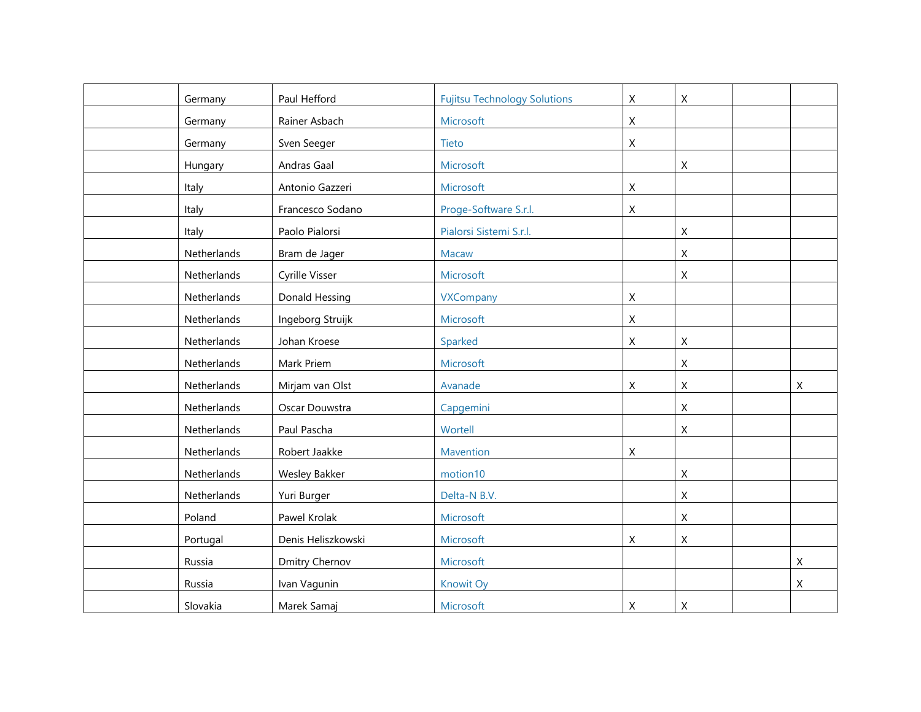| Germany     | Paul Hefford         | <b>Fujitsu Technology Solutions</b> | $\mathsf X$ | $\mathsf{X}$              |   |
|-------------|----------------------|-------------------------------------|-------------|---------------------------|---|
| Germany     | Rainer Asbach        | Microsoft                           | $\mathsf X$ |                           |   |
| Germany     | Sven Seeger          | Tieto                               | X           |                           |   |
| Hungary     | Andras Gaal          | Microsoft                           |             | $\boldsymbol{X}$          |   |
| Italy       | Antonio Gazzeri      | Microsoft                           | $\mathsf X$ |                           |   |
| Italy       | Francesco Sodano     | Proge-Software S.r.l.               | X           |                           |   |
| Italy       | Paolo Pialorsi       | Pialorsi Sistemi S.r.l.             |             | $\boldsymbol{X}$          |   |
| Netherlands | Bram de Jager        | <b>Macaw</b>                        |             | $\mathsf X$               |   |
| Netherlands | Cyrille Visser       | Microsoft                           |             | $\boldsymbol{\mathsf{X}}$ |   |
| Netherlands | Donald Hessing       | <b>VXCompany</b>                    | $\mathsf X$ |                           |   |
| Netherlands | Ingeborg Struijk     | Microsoft                           | $\mathsf X$ |                           |   |
| Netherlands | Johan Kroese         | Sparked                             | X           | $\boldsymbol{X}$          |   |
| Netherlands | Mark Priem           | Microsoft                           |             | $\mathsf X$               |   |
| Netherlands | Mirjam van Olst      | Avanade                             | $\mathsf X$ | $\mathsf X$               | X |
| Netherlands | Oscar Douwstra       | Capgemini                           |             | $\mathsf X$               |   |
| Netherlands | Paul Pascha          | Wortell                             |             | X                         |   |
| Netherlands | Robert Jaakke        | Mavention                           | $\mathsf X$ |                           |   |
| Netherlands | <b>Wesley Bakker</b> | motion10                            |             | $\mathsf X$               |   |
| Netherlands | Yuri Burger          | Delta-N B.V.                        |             | $\mathsf X$               |   |
| Poland      | Pawel Krolak         | Microsoft                           |             | $\mathsf{X}$              |   |
| Portugal    | Denis Heliszkowski   | Microsoft                           | X           | $\boldsymbol{X}$          |   |
| Russia      | Dmitry Chernov       | Microsoft                           |             |                           | X |
| Russia      | Ivan Vagunin         | Knowit Oy                           |             |                           | Χ |
| Slovakia    | Marek Samaj          | Microsoft                           | X           | $\mathsf{X}$              |   |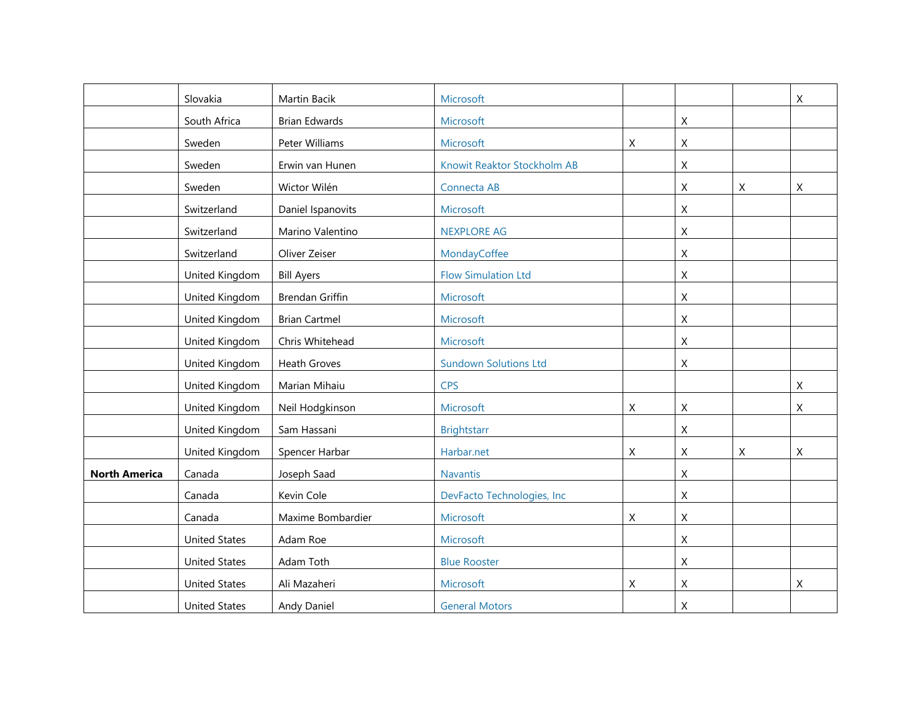|                      | Slovakia             | Martin Bacik           | Microsoft                    |   |             |   | X           |
|----------------------|----------------------|------------------------|------------------------------|---|-------------|---|-------------|
|                      | South Africa         | <b>Brian Edwards</b>   | Microsoft                    |   | X           |   |             |
|                      | Sweden               | Peter Williams         | Microsoft                    | Χ | Χ           |   |             |
|                      | Sweden               | Erwin van Hunen        | Knowit Reaktor Stockholm AB  |   | X           |   |             |
|                      | Sweden               | Wictor Wilén           | Connecta AB                  |   | Χ           | Χ | Χ           |
|                      | Switzerland          | Daniel Ispanovits      | Microsoft                    |   | Χ           |   |             |
|                      | Switzerland          | Marino Valentino       | <b>NEXPLORE AG</b>           |   | $\mathsf X$ |   |             |
|                      | Switzerland          | Oliver Zeiser          | MondayCoffee                 |   | $\mathsf X$ |   |             |
|                      | United Kingdom       | <b>Bill Ayers</b>      | <b>Flow Simulation Ltd</b>   |   | Χ           |   |             |
|                      | United Kingdom       | <b>Brendan Griffin</b> | Microsoft                    |   | Χ           |   |             |
|                      | United Kingdom       | <b>Brian Cartmel</b>   | Microsoft                    |   | Χ           |   |             |
|                      | United Kingdom       | Chris Whitehead        | Microsoft                    |   | $\mathsf X$ |   |             |
|                      | United Kingdom       | <b>Heath Groves</b>    | <b>Sundown Solutions Ltd</b> |   | $\mathsf X$ |   |             |
|                      | United Kingdom       | Marian Mihaiu          | <b>CPS</b>                   |   |             |   | X           |
|                      | United Kingdom       | Neil Hodgkinson        | Microsoft                    | X | Χ           |   | X           |
|                      | United Kingdom       | Sam Hassani            | <b>Brightstarr</b>           |   | Χ           |   |             |
|                      | United Kingdom       | Spencer Harbar         | Harbar.net                   | X | Χ           | Χ | $\mathsf X$ |
| <b>North America</b> | Canada               | Joseph Saad            | <b>Navantis</b>              |   | X           |   |             |
|                      | Canada               | Kevin Cole             | DevFacto Technologies, Inc   |   | X           |   |             |
|                      | Canada               | Maxime Bombardier      | Microsoft                    | Χ | Χ           |   |             |
|                      | <b>United States</b> | Adam Roe               | Microsoft                    |   | Χ           |   |             |
|                      | <b>United States</b> | Adam Toth              | <b>Blue Rooster</b>          |   | Χ           |   |             |
|                      | <b>United States</b> | Ali Mazaheri           | Microsoft                    | X | Χ           |   | Χ           |
|                      | <b>United States</b> | Andy Daniel            | <b>General Motors</b>        |   | Χ           |   |             |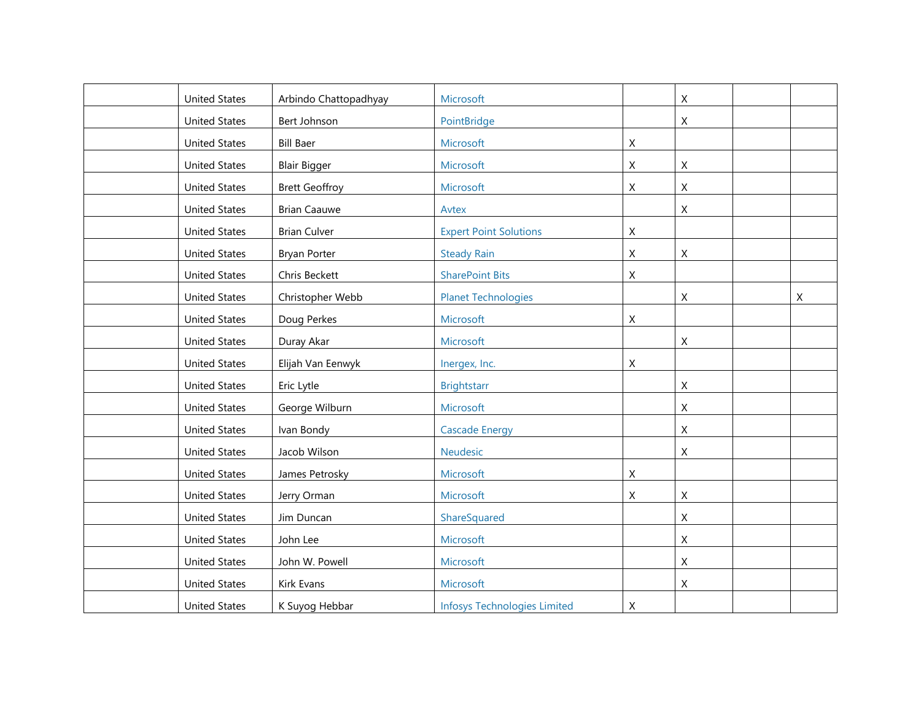| <b>United States</b> | Arbindo Chattopadhyay | Microsoft                           |             | $\mathsf X$               |   |
|----------------------|-----------------------|-------------------------------------|-------------|---------------------------|---|
| <b>United States</b> | Bert Johnson          | PointBridge                         |             | X                         |   |
| <b>United States</b> | <b>Bill Baer</b>      | Microsoft                           | X           |                           |   |
| <b>United States</b> | <b>Blair Bigger</b>   | Microsoft                           | $\mathsf X$ | $\mathsf X$               |   |
| <b>United States</b> | <b>Brett Geoffroy</b> | Microsoft                           | X           | $\mathsf X$               |   |
| <b>United States</b> | <b>Brian Caauwe</b>   | Avtex                               |             | $\mathsf{X}$              |   |
| <b>United States</b> | <b>Brian Culver</b>   | <b>Expert Point Solutions</b>       | $\mathsf X$ |                           |   |
| <b>United States</b> | <b>Bryan Porter</b>   | <b>Steady Rain</b>                  | $\mathsf X$ | $\mathsf X$               |   |
| <b>United States</b> | Chris Beckett         | <b>SharePoint Bits</b>              | $\mathsf X$ |                           |   |
| <b>United States</b> | Christopher Webb      | <b>Planet Technologies</b>          |             | $\mathsf X$               | X |
| <b>United States</b> | Doug Perkes           | Microsoft                           | X           |                           |   |
| <b>United States</b> | Duray Akar            | Microsoft                           |             | X                         |   |
| <b>United States</b> | Elijah Van Eenwyk     | Inergex, Inc.                       | $\mathsf X$ |                           |   |
| <b>United States</b> | Eric Lytle            | <b>Brightstarr</b>                  |             | $\mathsf X$               |   |
| <b>United States</b> | George Wilburn        | Microsoft                           |             | $\mathsf X$               |   |
| <b>United States</b> | Ivan Bondy            | <b>Cascade Energy</b>               |             | $\boldsymbol{X}$          |   |
| <b>United States</b> | Jacob Wilson          | Neudesic                            |             | $\mathsf{X}$              |   |
| <b>United States</b> | James Petrosky        | Microsoft                           | $\mathsf X$ |                           |   |
| <b>United States</b> | Jerry Orman           | Microsoft                           | $\mathsf X$ | $\mathsf X$               |   |
| <b>United States</b> | Jim Duncan            | ShareSquared                        |             | $\mathsf{X}$              |   |
| <b>United States</b> | John Lee              | Microsoft                           |             | $\mathsf X$               |   |
| <b>United States</b> | John W. Powell        | Microsoft                           |             | $\boldsymbol{X}$          |   |
| <b>United States</b> | Kirk Evans            | Microsoft                           |             | $\boldsymbol{\mathsf{X}}$ |   |
| <b>United States</b> | K Suyog Hebbar        | <b>Infosys Technologies Limited</b> | X           |                           |   |